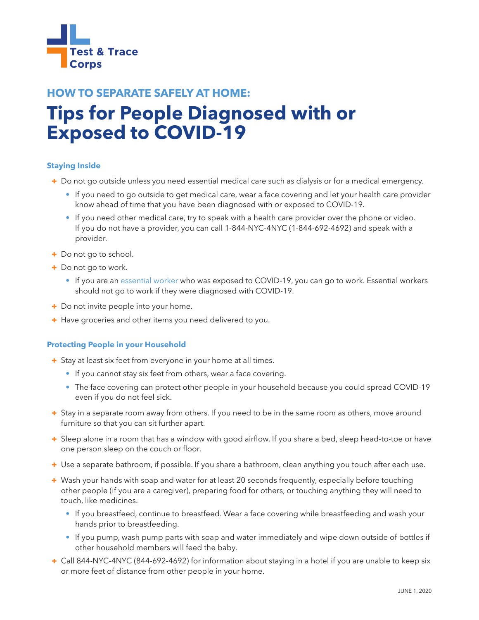

# **HOW TO SEPARATE SAFELY AT HOME: Tips for People Diagnosed with or Exposed to COVID-19**

# **Staying Inside**

- + Do not go outside unless you need essential medical care such as dialysis or for a medical emergency.
	- If you need to go outside to get medical care, wear a face covering and let your health care provider know ahead of time that you have been diagnosed with or exposed to COVID-19.
	- If you need other medical care, try to speak with a health care provider over the phone or video. If you do not have a provider, you can call 1-844-NYC-4NYC (1-844-692-4692) and speak with a provider.
- + Do not go to school.
- + Do not go to work.
	- If you are an [essential worker](https://www.governor.ny.gov/news/governor-cuomo-issues-guidance-essential-services-under-new-york-state-pause-executive-order) who was exposed to COVID-19, you can go to work. Essential workers should not go to work if they were diagnosed with COVID-19.
- + Do not invite people into your home.
- + Have groceries and other items you need delivered to you.

### **Protecting People in your Household**

- + Stay at least six feet from everyone in your home at all times.
	- If you cannot stay six feet from others, wear a face covering.
	- The face covering can protect other people in your household because you could spread COVID-19 even if you do not feel sick.
- + Stay in a separate room away from others. If you need to be in the same room as others, move around furniture so that you can sit further apart.
- + Sleep alone in a room that has a window with good airflow. If you share a bed, sleep head-to-toe or have one person sleep on the couch or floor.
- + Use a separate bathroom, if possible. If you share a bathroom, clean anything you touch after each use.
- + Wash your hands with soap and water for at least 20 seconds frequently, especially before touching other people (if you are a caregiver), preparing food for others, or touching anything they will need to touch, like medicines.
	- If you breastfeed, continue to breastfeed. Wear a face covering while breastfeeding and wash your hands prior to breastfeeding.
	- If you pump, wash pump parts with soap and water immediately and wipe down outside of bottles if other household members will feed the baby.
- + Call 844-NYC-4NYC (844-692-4692) for information about staying in a hotel if you are unable to keep six or more feet of distance from other people in your home.